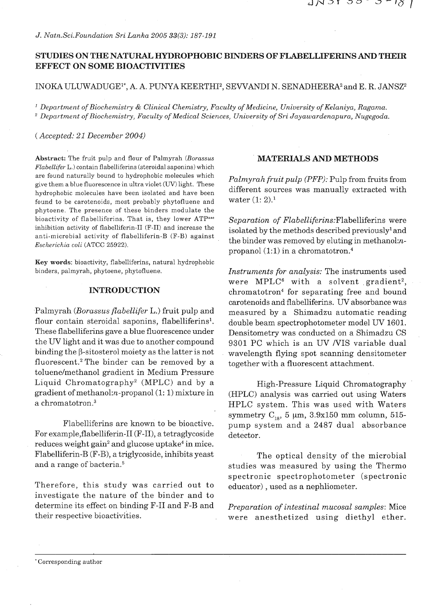# **STUDIES ON THE NATURAL HYDROPHOBIC BINDERS OF FLABELLIFERINS AND THEIR EFFECT ON SOME BIOACTMTIES**

INOKA ULUWADUGE<sup>1\*</sup>, A. A. PUNYA KEERTHI<sup>2</sup>, SEVVANDI N. SENADHEERA<sup>2</sup> and E. R. JANSZ<sup>2</sup>

*Department of Biochemistry* & *Clinical Chemistry, Faculty of Medicine, University of Kelaniya, Ragama. Department of Biochemistry, Faculty of Medical Sciences, University of Sri Jayawardenapura, Nugegoda.* 

## ( Accepted: 21 December 2004)

**Abstract:** The fruit pulp and flour of Palmyrah *(Borassus* **MATERIALS AND METHODS**  *Flabellifer L.)* contain flabelliferins (steroidal saponins) which are found naturally bound to hydrophobic molecules which  $Palmyrah fruit pulp (PFP):$  Pulp from fruits from give them a blue fluorescence in ultra violet (UV) light. These hydrophobic molecules have been isolated and have been different sources was manually extracted with  $f_{\text{quad}}$  to be carotenoids most probably phytofluene and water  $(1, 2).$ <sup>1</sup> found to be carotenoids, most probably phytofluene and phytoene. The presence of these binders modulate the bioactivity of flabelliferins. That is, they lower ATP<sup>ase</sup> Separation of Flabelliferins: Flabelliferins were inhibition activity of flabelliferin-II (F-II) and increase the schoot of the mothods described proviously and anti-microbial activity of flabelliferin-B (F-B) against

Key words: bioactivity, flabelliferins, natural hydrophobic binders, palmyrah, phytoene, phytofluene.

## **INTRODUCTION**

Palmyrah (Borassus flabellifer L.) fruit pulp and flour contain steroidal saponins, flabelliferins'. These flabelliferins gave a blue fluorescence under the W light and it was due to another compound binding the  $\beta$ -sitosterol moiety as the latter is not fluorescent.<sup>2</sup> The binder can be removed by a toluene/methanol gradient in Medium Pressure Liquid Chromatography2 (MPLC) and by a gradient of methano1:n-propanol (1: 1) mixture in  $a$  chromatotron. $3$ 

Flabelliferins are known to be bioactive. For example,flabelliferin-I1 (F-II), a tetraglycoside reduces weight gain<sup>2</sup> and glucose uptake<sup>4</sup> in mice. Flabelliferin-B (F-B), a triglycoside, inhibits yeast and a range of bacteria.<sup>5</sup>

Therefore, this study was carried out to investigate the nature of the binder and to determine its effect on binding F-II and F-B and Preparation of intestinal mucosal samples: Mice<br>their respective bioactivities.

isolated by the methods described previously<sup>1</sup> and *Escherichia coli* (ATCC 25922).<br>*Escherichia coli* (ATCC 25922).<br>propanol (1:1) in a chromatotron.<sup>4</sup>

> Instruments for analysis: The instruments used were MPLC $^6$  with a solvent gradient<sup>2</sup>, chromatotron<sup>4</sup> for separating free and bound carotenoids and flabelliferins. UV absorbance was measured by a Shimadzu automatic reading double beam spectrophotometer model W 1601. Densitometry was conducted on a Shimadzu CS 9301 PC which is an UV NIS variable dual wavelength flying spot scanning densitometer together with a fluorescent attachment.

> High-Pressure Liquid Chromatography (HPLC) analysis was carried out using Waters HPLC system. This was used with Waters symmetry  $C_{18}$ , 5  $\mu$ m, 3.9x150 mm column, 515pump system and a 2487 dual absorbance detector.

> The optical density of the microbial studies was measured by using the Thermo spectronic spectrophotometer (spectronic educator) , used as a nephliometer.

> were anesthetized using diethyl ether.

\* Corresponding author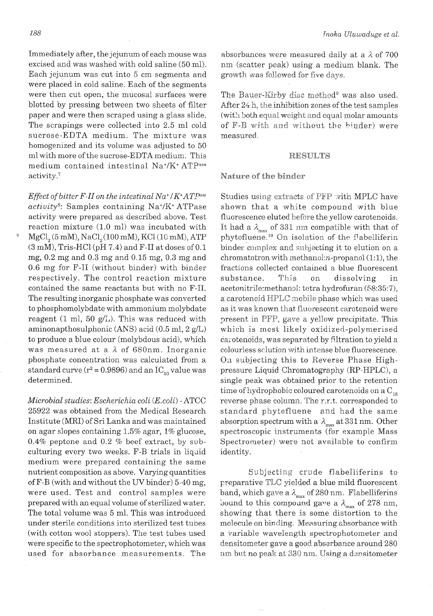Immediately after, the jejunum of each mouse was excised and was washed with cold saline (50 ml). Each jejunum was cut into 5 cm segments and were placed in cold saline. Each of the segments were then cut open, the mucosal surfaces were blotted by pressing between two sheets of filter paper and were then scraped using a glass slide. The scrapings were collected into 2.5 ml cold sucrose-EDTA medium. The mixture was homogenized and its volume was adjusted to 50 ml with more of the sucrose-EDTA medium. This medium contained intestinal Na+/K+ ATPase activity.<sup>7</sup>

Effect of bitter F-II on the intestinal  $Na^*/K^*AT^{Dase}$  $activity<sup>8</sup>$ : Samples containing Na<sup>+</sup>/K<sup>+</sup> ATPase activity were prepared as described above. Test reaction mixture  $(1.0 \text{ ml})$  was incubated with  $MgCl<sub>0</sub>(5 \text{ mM})$ , NaCl<sub>0</sub> $(100 \text{ mM})$ , KCl $(10 \text{ mM})$ , ATP  $(3 \text{ mM})$ , Tris-HCl (pH 7.4) and F-II at doses of 0.1 mg, 0.2 mg and 0.3 mg and 0,15 mg, 0.3 mg and 0.6 mg for F-I1 (without binder) with binder respectively. The control reaction mixture contained the same reactants but with no F-11. The resulting inorganic phosphate was converted to phosphomolybdate with ammonium molybdate reagent  $(1 \text{ ml}, 50 \text{ g/L})$ . This was reduced with aminonapthosulphonic (ANS) acid  $(0.5 \text{ ml}, 2 \text{ g/L})$ to produce a blue colour (molybdous acid), which was measured at a  $\lambda$  of 680nm. Inorganic phosphate concentration was calculated from a standard curve ( $r^2$  = 0.9896) and an IC<sub>50</sub> value was determined.

Microbial studies: Escherichia coli (E.coli) - ATCC 25922 was obtained from the Medical Research Institute (MRI) of Sri Lanka and was maintained on agar slopes containing 1.5% agar, 1% glucose, 0.4% peptone and 0.2 % beef extract, by subculturing every two weeks. F-B trials in liquid medium were prepared containing the same nutrient composition as above. Varying quantities of F-B (with and without the UV binder) 5-40 mg, were used. Test and control samples were prepared with an equal volume of sterilized water. The total volume was 5 ml. This was introduced under sterile conditions into sterilized test tubes (with cotton wool stoppers). The test tubes used were specific to the spectrophotometer, which was used for absorbance measurements. The

absorbances were measured daily at a  $\lambda$  of 700 nm (scatter peak) using a medium blank. The growth was followed for five days.

The Bauer-Kirby disc method<sup>9</sup> was also used. After 24 h, the inhibition zones of the test samples (with both equal weight and equal molar amounts of F-B with and without the h;nder) were measured.

#### **RESULTS**

## **Nature of the binder**

Studies using extracts of PFP with MPLC have shown that a white compound with blue fluorescence eluted before the yellow carotenoids. It had a  $\lambda_{\text{max}}$  of 331 nm compatible with that of phytofluene.<sup>10</sup> On isolation of the flabelliferin binder complex and subjecting it to elution on a chromatotron with methanol:n-propanol (1:1), the fractions collected contained a blue fluorescent substance. This on dissolving in acetonitri1e:methanol: tetra hydrofuran (58:35:7), a carotenoid HPLC mobile phase which was used as it was known that fluorescent carotenoid were present in PFP, gave a yellow precipitate. This which is most likely oxidized-polymerised carotenoids, was separated by filtration to yield a colourless sclution with intense blue fluorescence. On subjecting this to Reverse Phase Highpressure Liquid Chromatography (RP-HPLC), a single peak was obtained prior to the retention time of hydrophobic coloured carotenoids on a  $\rm C_{_{18}}$ reverse phase column. The r.r.t. corresponded to standard phytofluene and had the same absorption spectrum with a  $\,\lambda_{\textrm{\tiny{max}}}$  at 331 nm. Other spectroscopic instruments (for example Mass Spectrometer) were not available to confirm identity.

Subjecting crude flabelliferins to reparative TLC yielded a blue mild fluorescent band, which gave a  $\lambda_{\text{max}}$  of 280 nm. Flabelliferins bound to this compound gave a  $\lambda_{\text{max}}$  of 278 nm, showing that there is some distortion to the molecule on binding. Measuring absorbance with a variable wavelength spectrophotometer and densitometer gave a good absorbance around 280 nm but no peak at 330 nm. Using a densitometer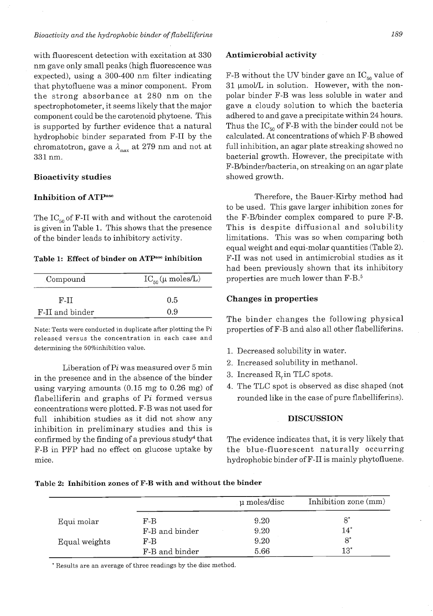with fluorescent detection with excitation at 330 nm gave only small peaks (high fluorescence was expected), using a 300-400 nm filter indicating that phytofluene was a minor component. From the strong absorbance at 280 nm on the spectrophotometer, it seems likely that the major component could be the carotenoid phytoene. This is supported by further evidence that a natural hydrophobic binder separated from F-I1 by the chromatotron, gave a  $\lambda_{\text{max}}$  at 279 nm and not at 331 nm.

# **Bioactivity studies**

## **Inhibition of ATP**<sup>ase</sup>

The  $IC_{50}$  of F-II with and without the carotenoid is given in Table 1. This shows that the presence of the binder leads to inhibitory activity.

#### Table 1: Effect of binder on ATP<sup>ase</sup> inhibition

| Compound        | $IC_{50}(\mu \text{ moles/L})$ |  |  |
|-----------------|--------------------------------|--|--|
| $F-III$         | 0.5                            |  |  |
| F-II and binder | 09                             |  |  |

released versus the concentration in each case and determining the 50%inhibition value.<br>
1. Decreased solubility in water.

Liberation of Pi was measured over 5 min 2. Increased solubility in methanol.<br>  $\frac{2.5}{3.5}$  Increased R<sub>i</sub> in TLC spots. in the presence and in the absence of the binder  $\frac{3.1 \text{ m} \cdot \text{m}}{4.1 \text{ m}}$ . Increased  $\frac{3.1 \text{ m}}{1 \text{ m}}$  TLC spots. using varying amounts  $(0.15 \text{ mg to } 0.26 \text{ mg})$  of flabelliferin and graphs of Pi formed versus rounded like in the case of pure flabelliferins). concentrations were plotted. F-B was not used for full inhibition studies as it did not show any **DISCUSSION** inhibition in preliminary studies and this is confirmed by the finding of a previous study<sup>4</sup> that The evidence indicates that, it is very likely that F-B in PFP had no effect on glucose uptake by the blue-fluorescent naturally occurring mice. hydrophobic binder of F-I1 is mainly phytofluene.

### **Antimicrobial activity**

F-B without the UV binder gave an  $IC_{50}$  value of 31 umol/L in solution. However, with the nonpolar binder F-B was less soluble in water and gave a cloudy solution to which the bacteria adhered to and gave a precipitate within 24 hours. Thus the  $IC_{50}$  of F-B with the binder could not be calculated. At concentrations of which F-B showed full inhibition, an agar plate streaking showed no bacterial growth. However, the precipitate with F-B/binder/bacteria, on streaking on an agar plate showed growth.

Therefore, the Bauer-Kirby method had to be used. This gave larger inhibition zones for the F-B/binder complex compared to pure F-B. This is despite diffusional and solubility limitations. This was so when comparing both equal weight and equi-molar quantities (Table 2). F-I1 was not used in antimicrobial studies as it had been previously shown that its inhibitory properties are much lower than F-B.5

## **Changes in properties**

The binder changes the following physical Note: Tests were conducted in duplicate after plotting the  $Pi$  properties of  $F-B$  and also all other flabelliferins.

- 
- 
- 
- 

## **Table 2: Inhibition zones of F-B with and without the binder**

|               |                | $\mu$ moles/disc | Inhibition zone (mm) |
|---------------|----------------|------------------|----------------------|
| Equi molar    | $F-B$          | 9.20             | $8^*$                |
|               | F-B and binder | 9.20             | $14*$                |
| Equal weights | $F-B$          | 9.20             | $8^*$                |
|               | F-B and binder | 5.66             | $13^*$               |

\* Results are an average of three readings by the disc method.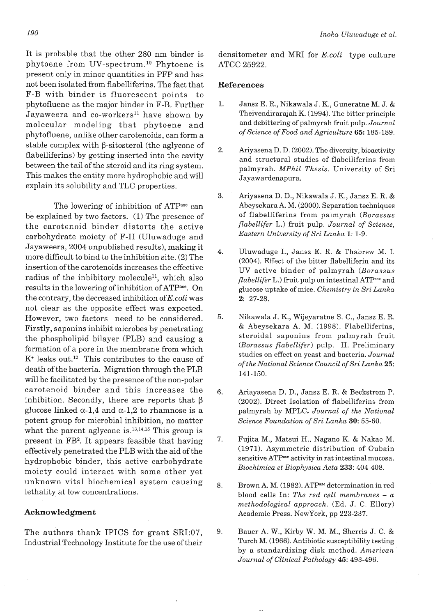It is probable that the other 280 nm binder is phytoene from UV-spectrum.<sup>10</sup> Phytoene is present only in minor quantities in PFP and has not been isolated from flabelliferins. The fact that F-B with binder is fluorescent points to phytofluene as the major binder in F-B. Further Jayaweera and co-workers<sup>11</sup> have shown by molecular modeling that phytoene and phytofluene, unlike other carotenoids, can form a stable complex with B-sitosterol (the aglycone of flabelliferins) by getting inserted into the cavity between the tail of the steroid and its ring system. This makes the entity more hydrophobic and will explain its solubility and TLC properties.

The lowering of inhibition of ATPase can be explained by two factors. (1) The presence of the carotenoid binder distorts the active carbohydrate moiety of F-I1 (Uluwaduge and Jayaweera, 2004 unpublished results), making it more difficult to bind to the inhibition site. (2) The insertion of the carotenoids increases the effective radius of the inhibitory molecule<sup>11</sup>, which also results in the lowering of inhibition of ATPase. On the contrary, the decreased inhibition of  $E$ .coli was not clear as the opposite effect was expected. However, two factors need to be considered. Firstly, saponins inhibit microbes by penetrating the phospholipid bilayer (PLB) and causing a formation of a pore in the membrane from which  $K<sup>+</sup>$  leaks out.<sup>12</sup> This contributes to the cause of death of the bacteria. Migration through the PLB will be facilitated by the presence of the non-polar carotenoid binder and this increases the inhibition. Secondly, there are reports that  $\beta$ glucose linked  $\alpha$ -1,4 and  $\alpha$ -1,2 to rhamnose is a potent group for microbial inhibition, no matter what the parent aglycone is. $13,14,15$  This group is present in FB2. It appears feasible that having effectively penetrated the PLB with the aid of the hydrophobic binder, this active carbohydrate moiety could interact with some other yet unknown vital biochemical system causing lethality at low concentrations.

# **Acknowledgment**

The authors thank IPICS for grant SRI:07, Industrial Technology Institute for the use of their densitometer and MRI for E.coli type culture ATCC 25922.

## **References**

- *1.* Jansz E. R., Nikawala J. K., Guneratne M. J. & Theivendirarajah K. *(1994).* The bitter principle and debittering of palmyrah fruit pulp. *Journal of Science of Food and Agriculture* 65: *185-189.*
- *2.* Ariyasena D. D. *(2002).* The diversity, bioactivity and structural studies of flabelliferins from palmyrah. *MPhil Thesis.* University of Sri Jayawardenapura.
- *3.* Ariyasena D. D., Nikawala J. K., Jansz E. R. & Abeysekara A. M. *(2000).* Separation techniques of flabelliferins from palmyrah *(Borassus flabellifer* L.) fruit pulp. *Journal of Science, Eastern University of Sri Lanka 1: 1-9.*
- *4.* Uluwaduge I., Jansz E. R. & Thabrew M. I. *(2004).* Effect of the bitter flabelliferin and its UV active binder of palmyrah *(Borassus flabellifer* L.) fruit pulp on intestinal ATP<sup>ase</sup> and glucose uptake of mice. *Chemistry in Sri Lanka*  2: *27-28.*
- *5.* Nikawala J. K., Wijeyaratne S. C., Jansz E. R. & Abeysekara *A.* M. *(1998).* Flabelliferins, steroidal saponins from palmyrah fruit *(Borassus flabellifer)* pulp. 11. Preliminary studies on effect on yeast and bacteria. *Journal of the National Science Council of Sri Lanka* 25: *141-150.*
- *6.* Ariayasena D. D., Jansz E. R. & Beckstrom P. *(2002).* Direct Isolation of flabelliferins from palmyrah by MPLC. *Journal of the National Science Foundation of Sri Lanka* 30: *55-60.*
- 7. Fujita M., Matsui H., Nagano K. & Nakao M. *(1971).* Asymmetric distribution of Oubain sensitive ATP<sup>ase</sup> activity in rat intestinal mucosa. *Biochimica et Biophysica Acta* 233: *404-408.*
- 8. Brown A. M. (1982). ATP<sup>ase</sup> determination in red blood cells In: *The red cell membranes* - *<sup>a</sup> methodological approach.* (Ed. J. *C.* Ellory) Academic Press. NewYork, pp *223-237.*
- *9.* Bauer A. W., Kirby W. M. M., Sherris J. C. & Turch M. *(1966).* Antibiotic susceptibility testing by a standardizing disk method. *American Journal of Clinical Pathology* 45: *493-496.*